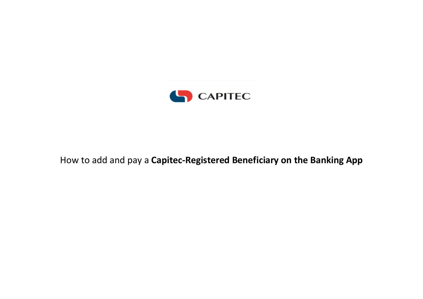

## How to add and pay a **Capitec-Registered Beneficiary on the Banking App**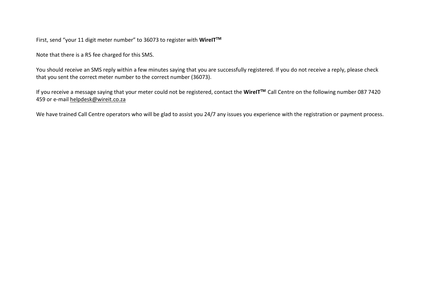First, send "your 11 digit meter number" to 36073 to register with **WireITTM**

Note that there is a R5 fee charged for this SMS.

You should receive an SMS reply within a few minutes saying that you are successfully registered. If you do not receive a reply, please check that you sent the correct meter number to the correct number (36073).

If you receive a message saying that your meter could not be registered, contact the **WireITTM** Call Centre on the following number 087 7420 459 or e-mail [helpdesk@wireit.co.za](mailto:helpdesk@wireit.co.za)

We have trained Call Centre operators who will be glad to assist you 24/7 any issues you experience with the registration or payment process.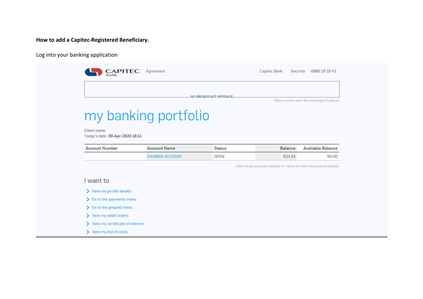#### **How to add a Capitec-Registered Beneficiary.**

Log into your banking application

|                                                 |                        | NO BROADCAST MESSAGE |                                                                | Move cursor over the message to pause |
|-------------------------------------------------|------------------------|----------------------|----------------------------------------------------------------|---------------------------------------|
| Client name:<br>Today's date: 30-Apr-2020 18:11 | my banking portfolio   |                      |                                                                |                                       |
| <b>Account Number</b>                           | <b>Account Name</b>    | <b>Status</b>        | <b>Balance</b>                                                 | Available Balance                     |
|                                                 | <b>SAVINGS ACCOUNT</b> | <b>OPEN</b>          | R24.83                                                         | R <sub>0.00</sub>                     |
|                                                 |                        |                      | Click on an account number or name to view the account details |                                       |
| I want to                                       |                        |                      |                                                                |                                       |
| View my profile details                         |                        |                      |                                                                |                                       |
| $\sum$ Go to the payments menu                  |                        |                      |                                                                |                                       |
| $\sum$ Go to the prepaid menu                   |                        |                      |                                                                |                                       |
| > View my debit orders                          |                        |                      |                                                                |                                       |
| > View my certificate of interest               |                        |                      |                                                                |                                       |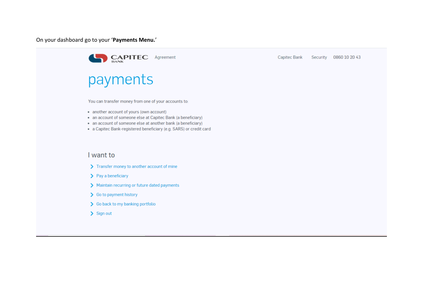On your dashboard go to your '**Payments Menu.**'



**Capitec Bank** Security 0860 10 20 43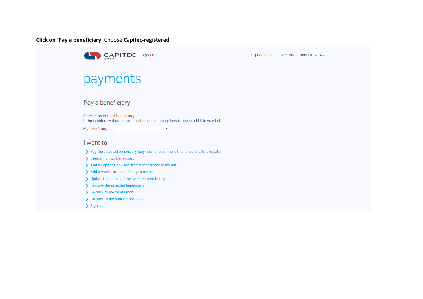**Click on 'Pay a beneficiary'** Choose **Capitec-registered**

| <b>CAPITEC</b><br>Agreement                                                                                                                                                    | <b>Capitec Bank</b> | Security | 0860 10 20 43 |
|--------------------------------------------------------------------------------------------------------------------------------------------------------------------------------|---------------------|----------|---------------|
|                                                                                                                                                                                |                     |          |               |
| payments                                                                                                                                                                       |                     |          |               |
| Pay a beneficiary                                                                                                                                                              |                     |          |               |
| Select a predefined beneficiary.<br>If the beneficiary does not exist, select one of the options below to add it to your list.<br>My beneficiary:<br>$\boldsymbol{\mathrm{v}}$ |                     |          |               |
| I want to                                                                                                                                                                      |                     |          |               |
| > Pay the selected beneficiary (pay now, once or more than once on a future date)                                                                                              |                     |          |               |
| > Create my own beneficiary                                                                                                                                                    |                     |          |               |
| > Add a Capitec Bank-registered beneficiary to my list                                                                                                                         |                     |          |               |
| > Add a credit card beneficiary to my list                                                                                                                                     |                     |          |               |
| > Update the details of the selected beneficiary                                                                                                                               |                     |          |               |
| > Remove the selected beneficiary                                                                                                                                              |                     |          |               |
| So back to payments menu                                                                                                                                                       |                     |          |               |
| So back to my banking portfolio                                                                                                                                                |                     |          |               |
| > Sign out                                                                                                                                                                     |                     |          |               |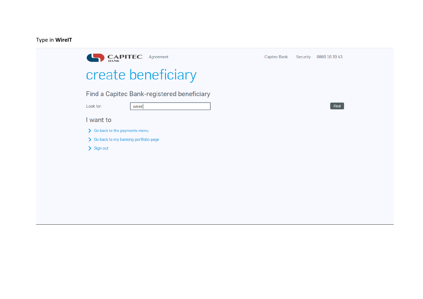#### Type in WirelT

| <b>CAPITEC</b> Agreement                   | Capitec Bank<br>0860 10 20 43<br>Security |
|--------------------------------------------|-------------------------------------------|
| create beneficiary                         |                                           |
| Find a Capitec Bank-registered beneficiary |                                           |
| Look for:<br>wireit                        | Find                                      |
| I want to                                  |                                           |
| > Go back to the payments menu             |                                           |
| > Go back to my banking portfolio page     |                                           |
| > Sign out                                 |                                           |
|                                            |                                           |
|                                            |                                           |
|                                            |                                           |
|                                            |                                           |
|                                            |                                           |
|                                            |                                           |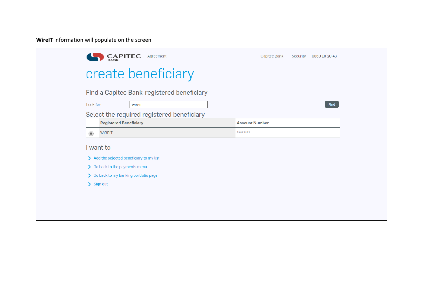**WireIT** information will populate on the screen

|           | <b>CAPITEC</b><br><b>BANK</b>             | Agreement                                  | Capitec Bank          | Security | 0860 10 20 43 |
|-----------|-------------------------------------------|--------------------------------------------|-----------------------|----------|---------------|
|           |                                           | create beneficiary                         |                       |          |               |
|           |                                           | Find a Capitec Bank-registered beneficiary |                       |          |               |
| Look for: | wireit                                    |                                            |                       |          | <b>Find</b>   |
|           |                                           | Select the required registered beneficiary |                       |          |               |
|           | <b>Registered Beneficiary</b>             |                                            | <b>Account Number</b> |          |               |
| $\bullet$ | <b>WiREIT</b>                             |                                            | ********              |          |               |
|           | I want to                                 |                                            |                       |          |               |
|           | > Add the selected beneficiary to my list |                                            |                       |          |               |
|           |                                           |                                            |                       |          |               |
|           | So back to the payments menu              |                                            |                       |          |               |
|           | So back to my banking portfolio page      |                                            |                       |          |               |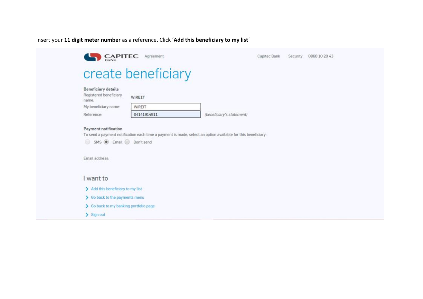#### Insert your **11 digit meter number** as a reference. Click '**Add this beneficiary to my list**'

| <b>CAPITEC</b>                                         | Agreement          | Capitec Bank<br>Security  | 0860 10 20 43 |
|--------------------------------------------------------|--------------------|---------------------------|---------------|
|                                                        | create beneficiary |                           |               |
| Beneficiary details<br>Registered beneficiary<br>name: | WIREIT             |                           |               |
| My beneficiary name:                                   | WIREIT             |                           |               |
| Reference:                                             | 04141914911        | (beneficiary's statement) |               |
| Email address:                                         |                    |                           |               |
|                                                        |                    |                           |               |
| I want to                                              |                    |                           |               |
| > Add this beneficiary to my list                      |                    |                           |               |
| > Go back to the payments menu                         |                    |                           |               |
| > Go back to my banking portfolio page                 |                    |                           |               |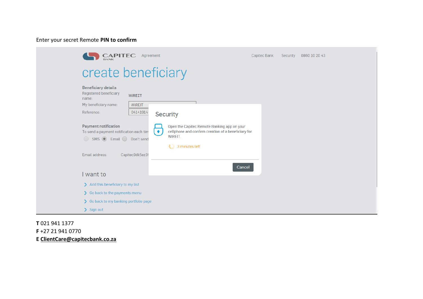Enter your secret Remote **PIN to confirm**

| <b>CAPITEC</b> Agreement                                                                                                            |                                                                                                                                                                           | Capitec Bank<br>Security<br>0860 10 20 43 |
|-------------------------------------------------------------------------------------------------------------------------------------|---------------------------------------------------------------------------------------------------------------------------------------------------------------------------|-------------------------------------------|
| create beneficiary                                                                                                                  |                                                                                                                                                                           |                                           |
| Beneficiary details<br>Registered beneficiary<br><b>WIREIT</b><br>name:<br>My beneficiary name:<br>WIREIT<br>04141914<br>Reference: | <b>Security</b>                                                                                                                                                           |                                           |
| Payment notification<br>To send a payment notification each tim<br>SMS C Email C Don't send                                         | Open the Capitec Remote Banking app on your<br>$\left( \bullet \right)$<br>cellphone and confirm creation of a beneficiary for<br>WiREIT.<br>$\frac{3}{2}$ 3 minutes left |                                           |
| Email address:<br>Capitec9dk5ez3                                                                                                    | Cancel                                                                                                                                                                    |                                           |
| I want to                                                                                                                           |                                                                                                                                                                           |                                           |
| > Add this beneficiary to my list                                                                                                   |                                                                                                                                                                           |                                           |
| So back to the payments menu                                                                                                        |                                                                                                                                                                           |                                           |
| So back to my banking portfolio page                                                                                                |                                                                                                                                                                           |                                           |
| $\sum$ Sign out                                                                                                                     |                                                                                                                                                                           |                                           |

**T** 021 941 1377 **F** +27 21 941 0770 **E [ClientCare@capitecbank.co.za](mailto:ClientCare@capitecbank.co.za)**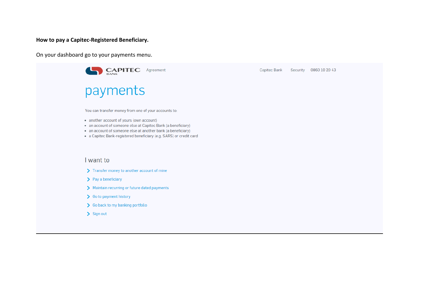**How to pay a Capitec-Registered Beneficiary.**

On your dashboard go to your payments menu.

| <b>CAPITEC</b><br>Agreement                                                                                                                                                                                                                                                                            | Capitec Bank | Security | 0860 10 20 43 |
|--------------------------------------------------------------------------------------------------------------------------------------------------------------------------------------------------------------------------------------------------------------------------------------------------------|--------------|----------|---------------|
| payments                                                                                                                                                                                                                                                                                               |              |          |               |
| You can transfer money from one of your accounts to:<br>• another account of yours (own account)<br>• an account of someone else at Capitec Bank (a beneficiary)<br>• an account of someone else at another bank (a beneficiary)<br>• a Capitec Bank-registered beneficiary (e.g. SARS) or credit card |              |          |               |
| I want to                                                                                                                                                                                                                                                                                              |              |          |               |
| > Transfer money to another account of mine                                                                                                                                                                                                                                                            |              |          |               |
| $\sum$ Pay a beneficiary                                                                                                                                                                                                                                                                               |              |          |               |
| > Maintain recurring or future dated payments                                                                                                                                                                                                                                                          |              |          |               |
| So to payment history                                                                                                                                                                                                                                                                                  |              |          |               |
| > Go back to my banking portfolio                                                                                                                                                                                                                                                                      |              |          |               |
| $\sum$ Sign out                                                                                                                                                                                                                                                                                        |              |          |               |
|                                                                                                                                                                                                                                                                                                        |              |          |               |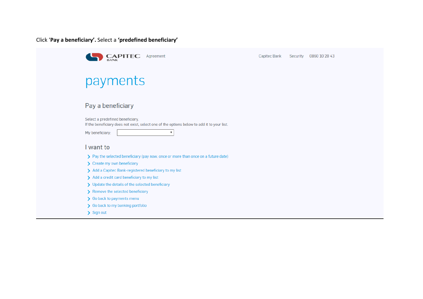Click '**Pay a beneficiary'.** Select a **'predefined beneficiary'**

| <b>CAPITEC</b><br>Agreement                                                                                                    | Capitec Bank | Security | 0860 10 20 43 |
|--------------------------------------------------------------------------------------------------------------------------------|--------------|----------|---------------|
| payments                                                                                                                       |              |          |               |
| Pay a beneficiary                                                                                                              |              |          |               |
| Select a predefined beneficiary.<br>If the beneficiary does not exist, select one of the options below to add it to your list. |              |          |               |
| My beneficiary:<br>$\boldsymbol{\mathrm{v}}$                                                                                   |              |          |               |
| I want to                                                                                                                      |              |          |               |
| > Pay the selected beneficiary (pay now, once or more than once on a future date)                                              |              |          |               |
| > Create my own beneficiary                                                                                                    |              |          |               |
| > Add a Capitec Bank-registered beneficiary to my list                                                                         |              |          |               |
| > Add a credit card beneficiary to my list                                                                                     |              |          |               |
| > Update the details of the selected beneficiary                                                                               |              |          |               |
| > Remove the selected beneficiary                                                                                              |              |          |               |
| So back to payments menu                                                                                                       |              |          |               |
| So back to my banking portfolio                                                                                                |              |          |               |
| $\sum$ Sign out                                                                                                                |              |          |               |